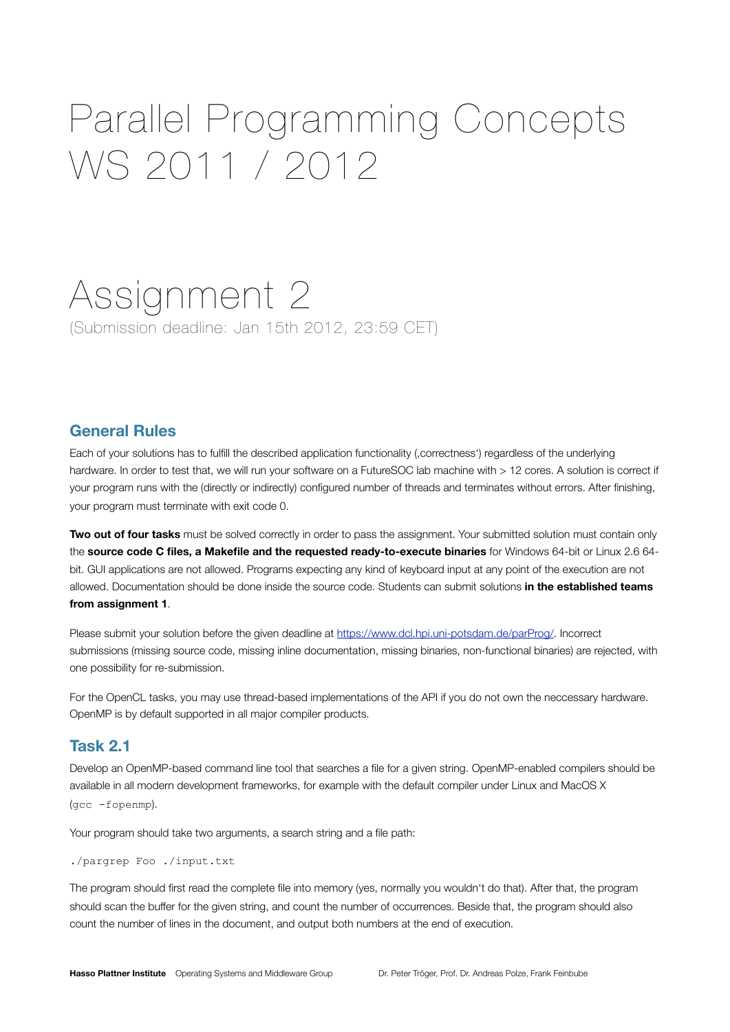# Parallel Programming Concepts WS 2011 / 2012

# Assignment 2

(Submission deadline: Jan 15th 2012, 23:59 CET)

### **General Rules**

Each of your solutions has to fulfill the described application functionality (,correctness') regardless of the underlying hardware. In order to test that, we will run your software on a FutureSOC lab machine with > 12 cores. A solution is correct if your program runs with the (directly or indirectly) configured number of threads and terminates without errors. After finishing, your program must terminate with exit code 0.

**Two out of four tasks** must be solved correctly in order to pass the assignment. Your submitted solution must contain only the **source code C files, a Makefile and the requested ready-to-execute binaries** for Windows 64-bit or Linux 2.6 64 bit. GUI applications are not allowed. Programs expecting any kind of keyboard input at any point of the execution are not allowed. Documentation should be done inside the source code. Students can submit solutions **in the established teams from assignment 1**.

Please submit your solution before the given deadline at [https://www.dcl.hpi.uni-potsdam.de/parProg/.](https://www.dcl.hpi.uni-potsdam.de/parProg/) Incorrect submissions (missing source code, missing inline documentation, missing binaries, non-functional binaries) are rejected, with one possibility for re-submission.

For the OpenCL tasks, you may use thread-based implementations of the API if you do not own the neccessary hardware. OpenMP is by default supported in all major compiler products.

#### **Task 2.1**

Develop an OpenMP-based command line tool that searches a file for a given string. OpenMP-enabled compilers should be available in all modern development frameworks, for example with the default compiler under Linux and MacOS X (gcc -fopenmp).

Your program should take two arguments, a search string and a file path:

./pargrep Foo ./input.txt

The program should first read the complete file into memory (yes, normally you wouldn't do that). After that, the program should scan the buffer for the given string, and count the number of occurrences. Beside that, the program should also count the number of lines in the document, and output both numbers at the end of execution.